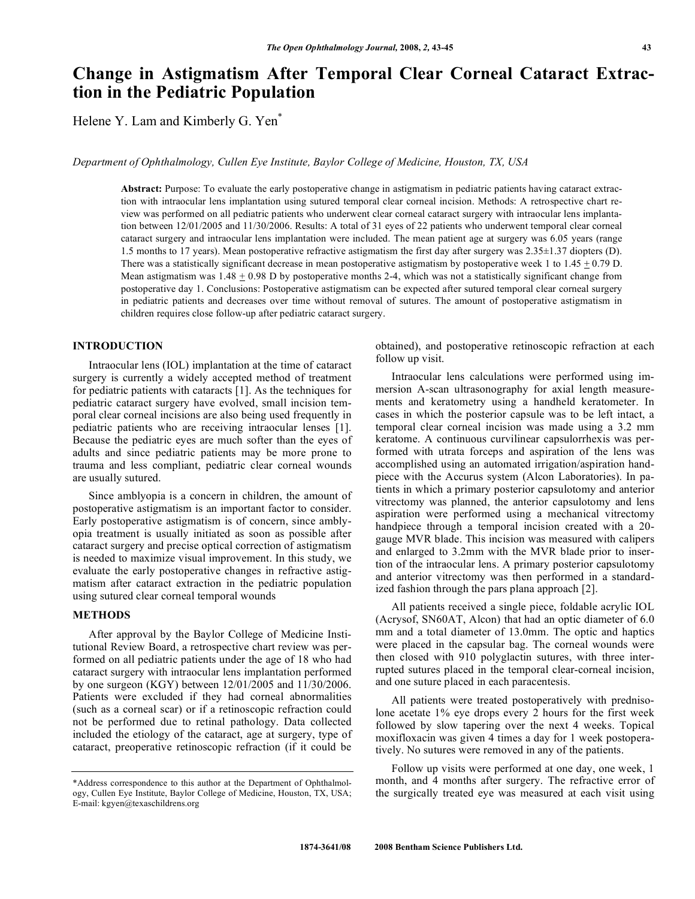# **Change in Astigmatism After Temporal Clear Corneal Cataract Extraction in the Pediatric Population**

Helene Y. Lam and Kimberly G. Yen<sup>\*</sup>

*Department of Ophthalmology, Cullen Eye Institute, Baylor College of Medicine, Houston, TX, USA* 

**Abstract:** Purpose: To evaluate the early postoperative change in astigmatism in pediatric patients having cataract extraction with intraocular lens implantation using sutured temporal clear corneal incision. Methods: A retrospective chart review was performed on all pediatric patients who underwent clear corneal cataract surgery with intraocular lens implantation between 12/01/2005 and 11/30/2006. Results: A total of 31 eyes of 22 patients who underwent temporal clear corneal cataract surgery and intraocular lens implantation were included. The mean patient age at surgery was 6.05 years (range 1.5 months to 17 years). Mean postoperative refractive astigmatism the first day after surgery was 2.35±1.37 diopters (D). There was a statistically significant decrease in mean postoperative astigmatism by postoperative week 1 to  $1.45 \pm 0.79$  D. Mean astigmatism was  $1.48 \pm 0.98$  D by postoperative months 2-4, which was not a statistically significant change from postoperative day 1. Conclusions: Postoperative astigmatism can be expected after sutured temporal clear corneal surgery in pediatric patients and decreases over time without removal of sutures. The amount of postoperative astigmatism in children requires close follow-up after pediatric cataract surgery.

### **INTRODUCTION**

 Intraocular lens (IOL) implantation at the time of cataract surgery is currently a widely accepted method of treatment for pediatric patients with cataracts [1]. As the techniques for pediatric cataract surgery have evolved, small incision temporal clear corneal incisions are also being used frequently in pediatric patients who are receiving intraocular lenses [1]. Because the pediatric eyes are much softer than the eyes of adults and since pediatric patients may be more prone to trauma and less compliant, pediatric clear corneal wounds are usually sutured.

 Since amblyopia is a concern in children, the amount of postoperative astigmatism is an important factor to consider. Early postoperative astigmatism is of concern, since amblyopia treatment is usually initiated as soon as possible after cataract surgery and precise optical correction of astigmatism is needed to maximize visual improvement. In this study, we evaluate the early postoperative changes in refractive astigmatism after cataract extraction in the pediatric population using sutured clear corneal temporal wounds

#### **METHODS**

 After approval by the Baylor College of Medicine Institutional Review Board, a retrospective chart review was performed on all pediatric patients under the age of 18 who had cataract surgery with intraocular lens implantation performed by one surgeon (KGY) between 12/01/2005 and 11/30/2006. Patients were excluded if they had corneal abnormalities (such as a corneal scar) or if a retinoscopic refraction could not be performed due to retinal pathology. Data collected included the etiology of the cataract, age at surgery, type of cataract, preoperative retinoscopic refraction (if it could be

obtained), and postoperative retinoscopic refraction at each follow up visit.

 Intraocular lens calculations were performed using immersion A-scan ultrasonography for axial length measurements and keratometry using a handheld keratometer. In cases in which the posterior capsule was to be left intact, a temporal clear corneal incision was made using a 3.2 mm keratome. A continuous curvilinear capsulorrhexis was performed with utrata forceps and aspiration of the lens was accomplished using an automated irrigation/aspiration handpiece with the Accurus system (Alcon Laboratories). In patients in which a primary posterior capsulotomy and anterior vitrectomy was planned, the anterior capsulotomy and lens aspiration were performed using a mechanical vitrectomy handpiece through a temporal incision created with a 20 gauge MVR blade. This incision was measured with calipers and enlarged to 3.2mm with the MVR blade prior to insertion of the intraocular lens. A primary posterior capsulotomy and anterior vitrectomy was then performed in a standardized fashion through the pars plana approach [2].

 All patients received a single piece, foldable acrylic IOL (Acrysof, SN60AT, Alcon) that had an optic diameter of 6.0 mm and a total diameter of 13.0mm. The optic and haptics were placed in the capsular bag. The corneal wounds were then closed with 910 polyglactin sutures, with three interrupted sutures placed in the temporal clear-corneal incision, and one suture placed in each paracentesis.

 All patients were treated postoperatively with prednisolone acetate 1% eye drops every 2 hours for the first week followed by slow tapering over the next 4 weeks. Topical moxifloxacin was given 4 times a day for 1 week postoperatively. No sutures were removed in any of the patients.

 Follow up visits were performed at one day, one week, 1 month, and 4 months after surgery. The refractive error of the surgically treated eye was measured at each visit using

<sup>\*</sup>Address correspondence to this author at the Department of Ophthalmology, Cullen Eye Institute, Baylor College of Medicine, Houston, TX, USA; E-mail: kgyen@texaschildrens.org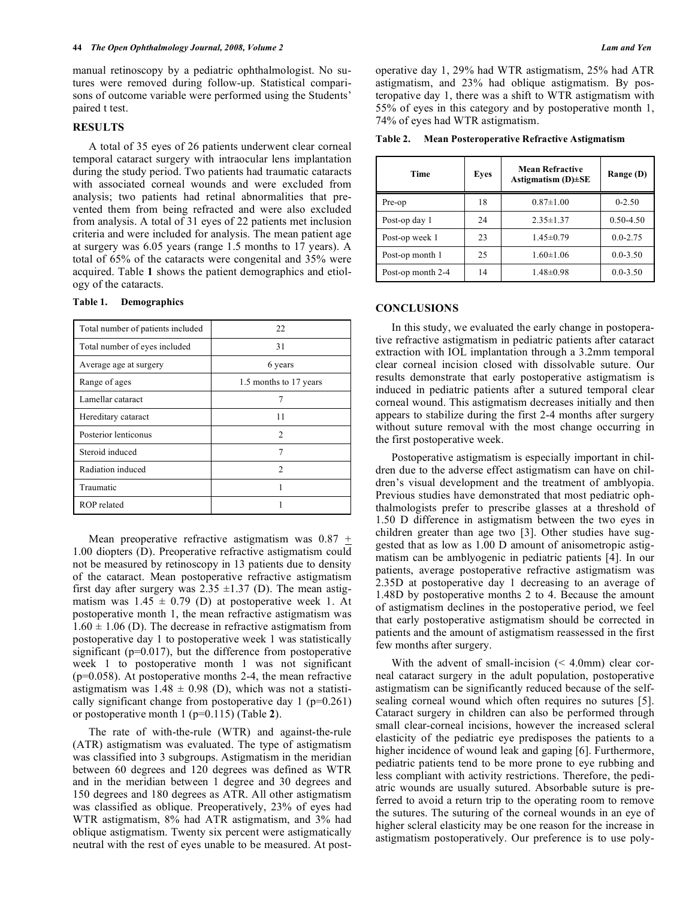manual retinoscopy by a pediatric ophthalmologist. No sutures were removed during follow-up. Statistical comparisons of outcome variable were performed using the Students' paired t test.

#### **RESULTS**

 A total of 35 eyes of 26 patients underwent clear corneal temporal cataract surgery with intraocular lens implantation during the study period. Two patients had traumatic cataracts with associated corneal wounds and were excluded from analysis; two patients had retinal abnormalities that prevented them from being refracted and were also excluded from analysis. A total of 31 eyes of 22 patients met inclusion criteria and were included for analysis. The mean patient age at surgery was 6.05 years (range 1.5 months to 17 years). A total of 65% of the cataracts were congenital and 35% were acquired. Table **1** shows the patient demographics and etiology of the cataracts.

| Demographics |  |  | Table 1. |
|--------------|--|--|----------|
|--------------|--|--|----------|

| Total number of patients included | 22                     |
|-----------------------------------|------------------------|
| Total number of eyes included     | 31                     |
| Average age at surgery            | 6 years                |
| Range of ages                     | 1.5 months to 17 years |
| Lamellar cataract                 | 7                      |
| Hereditary cataract               | 11                     |
| Posterior lenticonus              | $\mathfrak{D}$         |
| Steroid induced                   | 7                      |
| Radiation induced                 | $\overline{c}$         |
| Traumatic                         | 1                      |
| ROP related                       |                        |

Mean preoperative refractive astigmatism was  $0.87 +$ 1.00 diopters (D). Preoperative refractive astigmatism could not be measured by retinoscopy in 13 patients due to density of the cataract. Mean postoperative refractive astigmatism first day after surgery was  $2.35 \pm 1.37$  (D). The mean astigmatism was  $1.45 \pm 0.79$  (D) at postoperative week 1. At postoperative month 1, the mean refractive astigmatism was  $1.60 \pm 1.06$  (D). The decrease in refractive astigmatism from postoperative day 1 to postoperative week 1 was statistically significant ( $p=0.017$ ), but the difference from postoperative week 1 to postoperative month 1 was not significant  $(p=0.058)$ . At postoperative months 2-4, the mean refractive astigmatism was  $1.48 \pm 0.98$  (D), which was not a statistically significant change from postoperative day  $1$  ( $p=0.261$ ) or postoperative month 1 (p=0.115) (Table **2**).

 The rate of with-the-rule (WTR) and against-the-rule (ATR) astigmatism was evaluated. The type of astigmatism was classified into 3 subgroups. Astigmatism in the meridian between 60 degrees and 120 degrees was defined as WTR and in the meridian between 1 degree and 30 degrees and 150 degrees and 180 degrees as ATR. All other astigmatism was classified as oblique. Preoperatively, 23% of eyes had WTR astigmatism, 8% had ATR astigmatism, and 3% had oblique astigmatism. Twenty six percent were astigmatically neutral with the rest of eyes unable to be measured. At postoperative day 1, 29% had WTR astigmatism, 25% had ATR astigmatism, and 23% had oblique astigmatism. By posteropative day 1, there was a shift to WTR astigmatism with 55% of eyes in this category and by postoperative month 1, 74% of eyes had WTR astigmatism.

|  | Table 2. | <b>Mean Posteroperative Refractive Astigmatism</b> |  |
|--|----------|----------------------------------------------------|--|
|--|----------|----------------------------------------------------|--|

| Time              | <b>Eyes</b> | <b>Mean Refractive</b><br>Astigmatism $(D) \pm SE$ | Range (D)     |
|-------------------|-------------|----------------------------------------------------|---------------|
| Pre-op            | 18          | $0.87 \pm 1.00$                                    | $0 - 2.50$    |
| Post-op day 1     | 24          | $2.35 \pm 1.37$                                    | $0.50 - 4.50$ |
| Post-op week 1    | 23          | $1.45 \pm 0.79$                                    | $0.0 - 2.75$  |
| Post-op month 1   | 25          | $1.60 \pm 1.06$                                    | $0.0 - 3.50$  |
| Post-op month 2-4 | 14          | $1.48 \pm 0.98$                                    | $0.0 - 3.50$  |

#### **CONCLUSIONS**

 In this study, we evaluated the early change in postoperative refractive astigmatism in pediatric patients after cataract extraction with IOL implantation through a 3.2mm temporal clear corneal incision closed with dissolvable suture. Our results demonstrate that early postoperative astigmatism is induced in pediatric patients after a sutured temporal clear corneal wound. This astigmatism decreases initially and then appears to stabilize during the first 2-4 months after surgery without suture removal with the most change occurring in the first postoperative week.

 Postoperative astigmatism is especially important in children due to the adverse effect astigmatism can have on children's visual development and the treatment of amblyopia. Previous studies have demonstrated that most pediatric ophthalmologists prefer to prescribe glasses at a threshold of 1.50 D difference in astigmatism between the two eyes in children greater than age two [3]. Other studies have suggested that as low as 1.00 D amount of anisometropic astigmatism can be amblyogenic in pediatric patients [4]. In our patients, average postoperative refractive astigmatism was 2.35D at postoperative day 1 decreasing to an average of 1.48D by postoperative months 2 to 4. Because the amount of astigmatism declines in the postoperative period, we feel that early postoperative astigmatism should be corrected in patients and the amount of astigmatism reassessed in the first few months after surgery.

With the advent of small-incision  $( $4.0 \text{mm}$ ) clear cor$ neal cataract surgery in the adult population, postoperative astigmatism can be significantly reduced because of the selfsealing corneal wound which often requires no sutures [5]. Cataract surgery in children can also be performed through small clear-corneal incisions, however the increased scleral elasticity of the pediatric eye predisposes the patients to a higher incidence of wound leak and gaping [6]. Furthermore, pediatric patients tend to be more prone to eye rubbing and less compliant with activity restrictions. Therefore, the pediatric wounds are usually sutured. Absorbable suture is preferred to avoid a return trip to the operating room to remove the sutures. The suturing of the corneal wounds in an eye of higher scleral elasticity may be one reason for the increase in astigmatism postoperatively. Our preference is to use poly